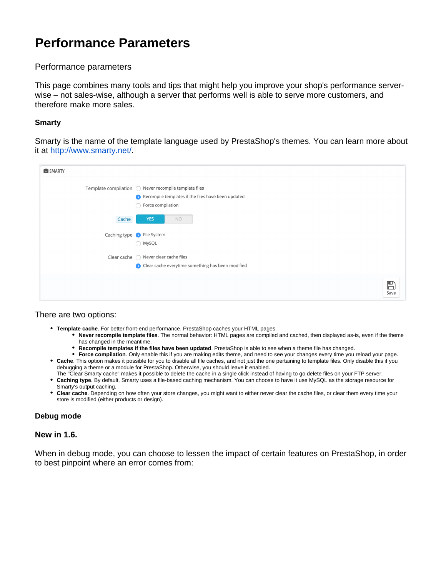# **Performance Parameters**

Performance parameters

This page combines many tools and tips that might help you improve your shop's performance serverwise – not sales-wise, although a server that performs well is able to serve more customers, and therefore make more sales.

# **Smarty**

Smarty is the name of the template language used by PrestaShop's themes. You can learn more about it at [http://www.smarty.net/.](http://www.smarty.net/)

| SMARTY |                                                                                                                                    |
|--------|------------------------------------------------------------------------------------------------------------------------------------|
|        | Template compilation ○ Never recompile template files<br>Recompile templates if the files have been updated<br>◯ Force compilation |
| Cache  | <b>YES</b><br><b>NO</b>                                                                                                            |
|        | Caching type <b>O</b> File System<br>◯ MySQL                                                                                       |
|        | Clear cache $\bigcirc$ Never clear cache files<br>O Clear cache everytime something has been modified                              |
|        | E<br>Save                                                                                                                          |

### There are two options:

- **Template cache**. For better front-end performance, PrestaShop caches your HTML pages.
	- **Never recompile template files**. The normal behavior: HTML pages are compiled and cached, then displayed as-is, even if the theme has changed in the meantime.
	- **Recompile templates if the files have been updated**. PrestaShop is able to see when a theme file has changed.
- **Force compilation**. Only enable this if you are making edits theme, and need to see your changes every time you reload your page. **Cache**. This option makes it possible for you to disable all file caches, and not just the one pertaining to template files. Only disable this if you debugging a theme or a module for PrestaShop. Otherwise, you should leave it enabled.
- The "Clear Smarty cache" makes it possible to delete the cache in a single click instead of having to go delete files on your FTP server. **Caching type**. By default, Smarty uses a file-based caching mechanism. You can choose to have it use MySQL as the storage resource for
- Smarty's output caching.
- **Clear cache**. Depending on how often your store changes, you might want to either never clear the cache files, or clear them every time your store is modified (either products or design).

### **Debug mode**

### **New in 1.6.**

When in debug mode, you can choose to lessen the impact of certain features on PrestaShop, in order to best pinpoint where an error comes from: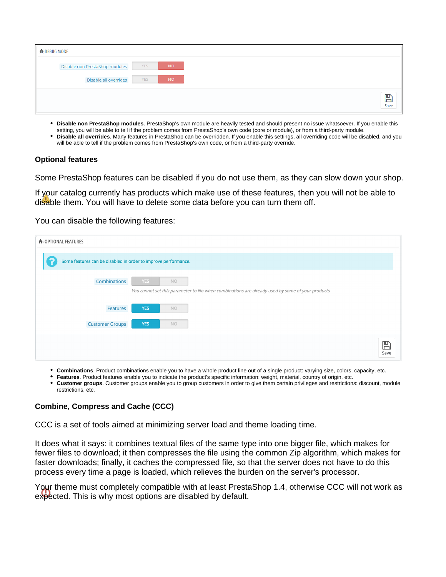| <del>派</del> DEBUG MODE        |            |     |                      |
|--------------------------------|------------|-----|----------------------|
| Disable non PrestaShop modules | <b>YES</b> | NO. |                      |
| Disable all overrides          | <b>YES</b> | NO. |                      |
|                                |            |     | $\sum_{\text{Save}}$ |

- **Disable non PrestaShop modules**. PrestaShop's own module are heavily tested and should present no issue whatsoever. If you enable this setting, you will be able to tell if the problem comes from PrestaShop's own code (core or module), or from a third-party module. **Disable all overrides**. Many features in PrestaShop can be overridden. If you enable this settings, all overriding code will be disabled, and you
- will be able to tell if the problem comes from PrestaShop's own code, or from a third-party override.

### **Optional features**

Some PrestaShop features can be disabled if you do not use them, as they can slow down your shop.

If your catalog currently has products which make use of these features, then you will not be able to disable them. You will have to delete some data before you can turn them off.

You can disable the following features:

| <b>H-OPTIONAL FEATURES</b>                                     |                                                                                                                      |                      |
|----------------------------------------------------------------|----------------------------------------------------------------------------------------------------------------------|----------------------|
| Some features can be disabled in order to improve performance. |                                                                                                                      |                      |
| <b>Combinations</b>                                            | YES.<br><b>NO</b><br>You cannot set this parameter to No when combinations are already used by some of your products |                      |
| Features                                                       | <b>YES</b><br><b>NO</b>                                                                                              |                      |
| <b>Customer Groups</b>                                         | <b>YES</b><br><b>NO</b>                                                                                              |                      |
|                                                                |                                                                                                                      | $\mathbb{B}$<br>Save |

- **Combinations**. Product combinations enable you to have a whole product line out of a single product: varying size, colors, capacity, etc.
- **Features**. Product features enable you to indicate the product's specific information: weight, material, country of origin, etc.
- **Customer groups**. Customer groups enable you to group customers in order to give them certain privileges and restrictions: discount, module restrictions, etc.

## **Combine, Compress and Cache (CCC)**

CCC is a set of tools aimed at minimizing server load and theme loading time.

It does what it says: it combines textual files of the same type into one bigger file, which makes for fewer files to download; it then compresses the file using the common Zip algorithm, which makes for faster downloads; finally, it caches the compressed file, so that the server does not have to do this process every time a page is loaded, which relieves the burden on the server's processor.

Your theme must completely compatible with at least PrestaShop 1.4, otherwise CCC will not work as expected. This is why most options are disabled by default.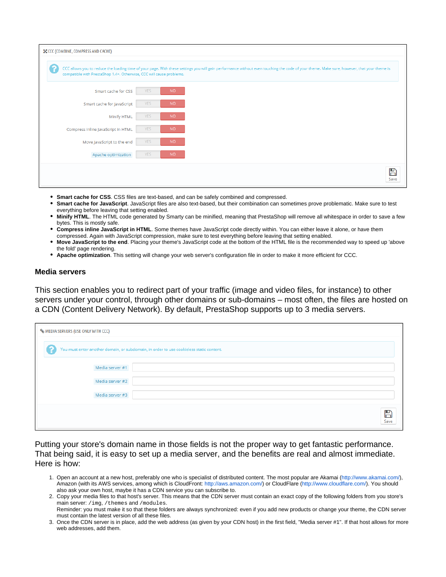| X CCC (COMBINE, COMPRESS AND CACHE)                                  |            |     |                                                                                                                                                                                            |
|----------------------------------------------------------------------|------------|-----|--------------------------------------------------------------------------------------------------------------------------------------------------------------------------------------------|
| compatible with PrestaShop 1.4+. Otherwise, CCC will cause problems. |            |     | CCC allows you to reduce the loading time of your page. With these settings you will gain performance without even touching the code of your theme. Make sure, however, that your theme is |
| Smart cache for CSS                                                  | <b>YES</b> | NO. |                                                                                                                                                                                            |
| Smart cache for JavaScript                                           | <b>YES</b> | NO. |                                                                                                                                                                                            |
| Minify HTML                                                          | <b>YES</b> | NO. |                                                                                                                                                                                            |
| Compress inline JavaScript in HTML                                   | <b>YES</b> | NO. |                                                                                                                                                                                            |
| Move JavaScript to the end                                           | <b>YES</b> | NO. |                                                                                                                                                                                            |
| Apache optimization                                                  | <b>YES</b> | NO. |                                                                                                                                                                                            |
|                                                                      |            |     | $\boxplus$<br>Save                                                                                                                                                                         |

- **Smart cache for CSS**. CSS files are text-based, and can be safely combined and compressed.
- **Smart cache for JavaScript**. JavaScript files are also text-based, but their combination can sometimes prove problematic. Make sure to test everything before leaving that setting enabled.
- **Minify HTML**. The HTML code generated by Smarty can be minified, meaning that PrestaShop will remove all whitespace in order to save a few bytes. This is mostly safe.
- **Compress inline JavaScript in HTML**. Some themes have JavaScript code directly within. You can either leave it alone, or have them compressed. Again with JavaScript compression, make sure to test everything before leaving that setting enabled.
- **Move JavaScript to the end**. Placing your theme's JavaScript code at the bottom of the HTML file is the recommended way to speed up 'above the fold' page rendering.
- **Apache optimization**. This setting will change your web server's configuration file in order to make it more efficient for CCC.

#### **Media servers**

This section enables you to redirect part of your traffic (image and video files, for instance) to other servers under your control, through other domains or sub-domains – most often, the files are hosted on a CDN (Content Delivery Network). By default, PrestaShop supports up to 3 media servers.

| % MEDIA SERVERS (USE ONLY WITH CCC) |                                                                                         |           |  |  |  |
|-------------------------------------|-----------------------------------------------------------------------------------------|-----------|--|--|--|
| 2                                   | You must enter another domain, or subdomain, in order to use cookieless static content. |           |  |  |  |
|                                     | Media server #1                                                                         |           |  |  |  |
|                                     | Media server #2                                                                         |           |  |  |  |
|                                     | Media server #3                                                                         |           |  |  |  |
|                                     |                                                                                         | ⊟<br>Save |  |  |  |

Putting your store's domain name in those fields is not the proper way to get fantastic performance. That being said, it is easy to set up a media server, and the benefits are real and almost immediate. Here is how:

- 1. Open an account at a new host, preferably one who is specialist of distributed content. The most popular are Akamai [\(http://www.akamai.com/\)](http://www.akamai.com/), Amazon (with its AWS services, among which is CloudFront: <http://aws.amazon.com/>) or CloudFlare ([http://www.cloudflare.com/\)](http://www.cloudflare.com/). You should also ask your own host, maybe it has a CDN service you can subscribe to.
- 2. Copy your media files to that host's server. This means that the CDN server must contain an exact copy of the following folders from you store's main server: /img, /themes and /modules.

Reminder: you must make it so that these folders are always synchronized: even if you add new products or change your theme, the CDN server must contain the latest version of all these files.

3. Once the CDN server is in place, add the web address (as given by your CDN host) in the first field, "Media server #1". If that host allows for more web addresses, add them.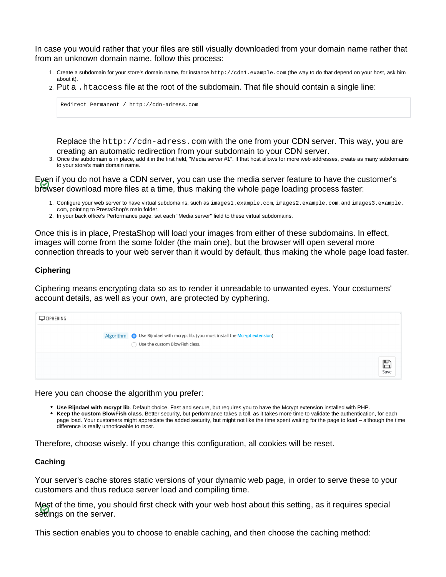In case you would rather that your files are still visually downloaded from your domain name rather that from an unknown domain name, follow this process:

- 1. Create a subdomain for your store's domain name, for instance http://cdn1.example.com (the way to do that depend on your host, ask him about it).
- 2. Put a .htaccess file at the root of the subdomain. That file should contain a single line:

Redirect Permanent / http://cdn-adress.com

Replace the http://cdn-adress.com with the one from your CDN server. This way, you are creating an automatic redirection from your subdomain to your CDN server.

3. Once the subdomain is in place, add it in the first field, "Media server #1". If that host allows for more web addresses, create as many subdomains to your store's main domain name.

Even if you do not have a CDN server, you can use the media server feature to have the customer's browser download more files at a time, thus making the whole page loading process faster:

- 1. Configure your web server to have virtual subdomains, such as images1.example.com, images2.example.com, and images3.example. com, pointing to PrestaShop's main folder.
- 2. In your back office's Performance page, set each "Media server" field to these virtual subdomains.

Once this is in place, PrestaShop will load your images from either of these subdomains. In effect, images will come from the some folder (the main one), but the browser will open several more connection threads to your web server than it would by default, thus making the whole page load faster.

#### **Ciphering**

Ciphering means encrypting data so as to render it unreadable to unwanted eyes. Your costumers' account details, as well as your own, are protected by cyphering.

| $\Box$ CIPHERING |                                                                                                                       |                      |
|------------------|-----------------------------------------------------------------------------------------------------------------------|----------------------|
|                  | Algorithm O Use Rijndael with mcrypt lib. (you must install the Mcrypt extension)<br>◯ Use the custom BlowFish class. |                      |
|                  |                                                                                                                       | $\sum_{\text{Save}}$ |

Here you can choose the algorithm you prefer:

- **Use Rijndael with mcrypt lib**. Default choice. Fast and secure, but requires you to have the Mcrypt extension installed with PHP.
- **Keep the custom BlowFish class**. Better security, but performance takes a toll, as it takes more time to validate the authentication, for each page load. Your customers might appreciate the added security, but might not like the time spent waiting for the page to load – although the time difference is really unnoticeable to most.

Therefore, choose wisely. If you change this configuration, all cookies will be reset.

#### **Caching**

Your server's cache stores static versions of your dynamic web page, in order to serve these to your customers and thus reduce server load and compiling time.

Most of the time, you should first check with your web host about this setting, as it requires special settings on the server.

This section enables you to choose to enable caching, and then choose the caching method: